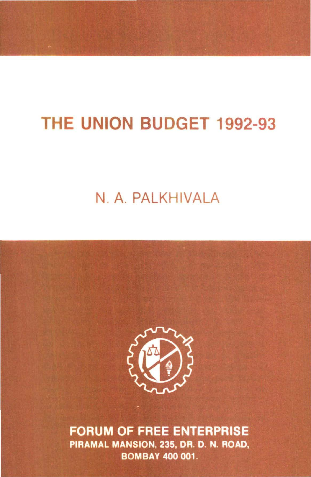# THE UNION BUDGET 1992-93

## N. A. PALKHIVALA



**FORUM OF FREE ENTERPRISE** PIRAMAL MANSION, 235, DR. D. N. ROAD, **BOMBAY 400 001.**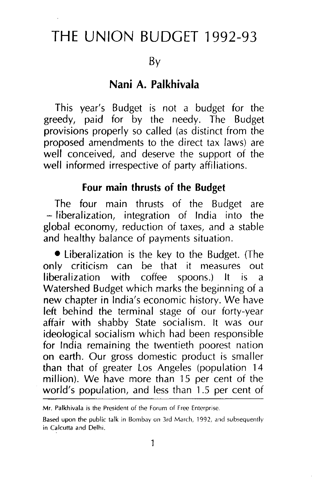### **THE UNION BUDGET** 1992-93

By

#### **Nani A. Palkhivala**

This year's Budget is not a budget for the greedy, paid for by the needy. The Budget provisions properly so called (as distinct from the proposed amendments to the direct tax laws) are well conceived, and deserve the support of the well informed irrespective of party affiliations.

#### **Four main thrusts of the Budget**

The four main thrusts of the Budget are - liberalization, integration of India into the global economy, reduction of taxes, and a stable and healthy balance of payments situation.

• Liberalization is the key to the Budget. (The only criticism can be that it measures out liberalization with coffee spoons.) It is a Watershed Budget which marks the beginning of a new chapter in India's economic history. We have left behind the terminal stage of our forty-year affair with shabby State socialism. It was our ideological socialism which had been responsible for India remaining the twentieth poorest nation on earth. Our gross domestic product is smaller than that of greater Los Angeles (population 14 million). We have more than 15 per cent of the world's population, and less than 1 .5 per cent of

Mr. Palkhivala is the President of the Forum of Free Enterprise.

Based upon the public talk in Bombay on 3rd March, 1992, and subsequently in Calcutta and Delhi.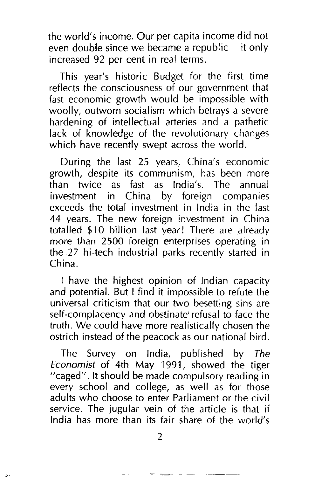the world's income. Our per capita income did not even double since we became a republic  $-$  it only increased 92 per cent in real terms.

This year's historic Budget for the first time reflects the consciousness of our government that fast economic growth would be impossible with woolly, outworn socialism which betrays a severe hardening of intellectual arteries and a pathetic lack of knowledge of the revolutionary changes which have recently swept across the world.

During the last 25 years, China's economic growth, despite its communism, has been more than twice as fast as India's. The annual investment in China by foreign companies exceeds the total investment in India in the last 44 years. The new foreign investment in China totalled \$10 billion last year! There are already more than 2500 foreign enterprises operating in the 27 hi-tech industrial parks recently started in China.

I have the highest opinion of Indian capacity and potential. But I find it impossible to refute the universal criticism that our two besetting sins are self-complacency and obstinate' refusal to face the truth. We could have more realistically chosen the ostrich instead of the peacock as our national bird.

The Survey on India, published by The *Economist* of 4th May 1991, showed the tiger "caged". It should be made compulsory reading in every school and college, as well as for those adults who choose to enter Parliament or the civil service. The jugular vein of the article is that if India has more than its fair share of the world's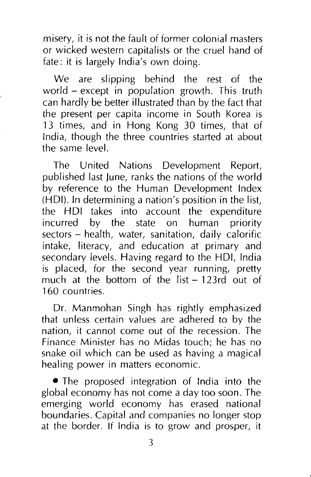misery, it is not the fault of former colonial masters or wicked western capitalists or the cruel hand of fate: it is largely India's own doing.

We are slipping behind the rest of the world - except in population growth. This truth can hardly be better illustrated than by the fact that the present per capita income in South Korea is 13 times, and in Hong Kong 30 times, that of India, though the three countries started at about the same level.

The United Nations Development Report, published last June, ranks the nations of the world by reference to the Human Development Index (HOI). In determining a nation's position in the list, the HOI takes into account the expenditure incurred by the state on human priority sectors - health, water, sanitation, daily calorific intake, literacy, and education at primary and secondary levels. Having regard to the HOI, India is placed, for the second year running, pretty much at the bottom of the list- 123rd out of 160 countries.

Dr. Manmohan Singh has rightly emphasized that unless certain values are adhered to by the nation, it cannot come out of the recession. The Finance Minister has no Midas touch; he has no snake oil which can be used as having a magical healing power in matters economic.

• The proposed integration of India into the global economy has not come a day too soon. The emerging world economy has erased national boundaries. Capital and companies no longer stop at the border. If India is to grow and prosper, it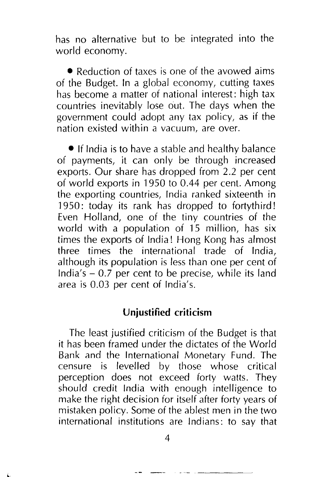has no alternative but to be integrated into the world economy.

• Reduction of taxes is one of the avowed aims of the Budget. In a global economy, cutting taxes has become a matter of national interest: high tax countries inevitably lose out. The days when the government could adopt any tax policy, as if the nation existed within a vacuum, are over.

• If India is to have a stable and healthy balance of payments, it can only be through increased exports. Our share has dropped from 2.2 per cent of world exports in 1950 to 0.44 per cent. Among the exporting countries, India ranked sixteenth in 1950: today its rank has dropped to fortythird! Even Holland, one of the tiny countries of the world with a population of 15 million, has six times the exports of India! Hong Kong has almost three times the international trade of India, although its population is less than one per cent of India's  $-0.7$  per cent to be precise, while its land area is 0.03 per cent of India's.

#### **Unjustified criticism**

The least justified criticism of the Budget is that it has been framed under the dictates of the World Bank and the International Monetary Fund. The censure is levelled by those whose critical perception does not exceed forty watts. They should credit India with enough intelligence to make the right decision for itself after forty years of mistaken policy. Some of the ablest men in the two international institutions are Indians: to say that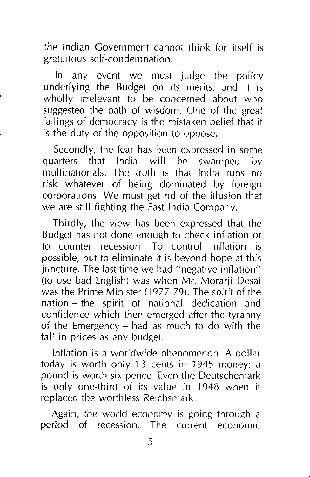the Indian Government cannot think for itself is gratuitous self-condemnation.

In any event we must judge the policy underlying the Budget on its merits, and it is wholly irrelevant to be concerned about who suggested the path of wisdom. One of the great failings of democracy is the mistaken belief that it is the duty of the opposition to oppose.

Secondly, the fear has been expressed in some quarters that India will be swamped by multinationals. The truth is that India runs no risk whatever of being dominated by foreign corporations. We must get rid of the illusion that we are still fighting the East India Company.

Thirdly, the view has been expressed that the Budget has not done enough to check inflation or to counter recession. To control inflation is possible, but to eliminate it is beyond hope at this juncture. The last time we had "negative inflation" (to use bad English) was when Mr. Morarji Desai was the Prime Minister (1977-79). The spirit of the nation - the spirit of national dedication and confidence which then emerged after the tyranny of the Emergency - had as much to do with the fall in prices as any budget.

Inflation is a worldwide phenomenon. A dollar today is worth only 13 cents in 1945 money; a pound is worth six pence. Even the Deutschemark is only one-third of its value in 1948 when it replaced the worthless Reichsmark.

Again, the world economy is going through a period of recession. The current economic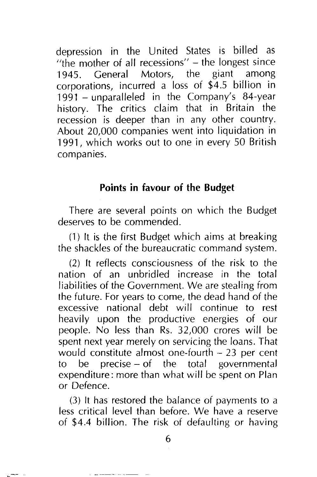depression in the United States is billed as "the mother of all recessions" – the longest since<br>1945 – General Motors, the giant among 1945. General Motors, the giant corporations, incurred a loss of \$4.5 billion in 1991 -unparalleled in the Company's 84-year history. The critics claim that in Britain the recession is deeper than in any other country. About 20,000 companies went into liquidation in 1991, which works out to one in every 50 British companies.

#### **Points in favour of the Budget**

There are several points on which the Budget deserves to be commended.

(1) It is the first Budget which aims at breaking the shackles of the bureaucratic command system.

(2) It reflects consciousness of the risk to the nation of an unbridled increase in the total liabilities of the Government. We are stealing from the future. For years to come, the dead hand of the excessive national debt will continue to rest heavily upon the productive energies of our people. No less than Rs. 32,000 crores will be spent next year merely on servicing the loans. That would constitute almost one-fourth  $-23$  per cent to be precise- of the total governmental expenditure: more than what will be spent on Plan or Defence.

(3) It has restored the balance of payments to a less critical level than before. We have a reserve of \$4.4 billion. The risk of defaulting or having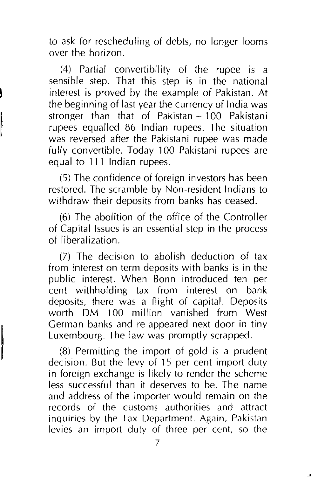to ask for rescheduling of debts, no longer looms over the horizon.

(4) Partial convertibility of the rupee is a sensible step. That this step is in the national interest is proved by the example of Pakistan. At the beginning of last year the currency of India was stronger than that of Pakistan- 100 Pakistani rupees equalled 86 Indian rupees. The situation was reversed after the Pakistani rupee was made fully convertible. Today 100 Pakistani rupees are equal to **111** Indian rupees.

(5) The confidence of foreign investors has been restored. The scramble by Non-resident Indians to withdraw their deposits from banks has ceased.

(6) The abolition of the office of the Controller of Capital Issues is an essential step in the process of liberalization.

(7) The decision to abolish deduction of tax from interest on term deposits with banks is in the public interest. When Bonn introduced ten per cent withholding tax from interest on bank deposits, there was a flight of capital. Deposits worth DM 100 million vanished from West German banks and re-appeared next door in tiny Luxembourg. The law was promptly scrapped.

(8) Permitting the import of gold is a prudent decision. But the levy of 15 per cent import duty in foreign exchange is likely to render the scheme less successful than it deserves to be. The name and address of the importer would remain on the records of the customs authorities and attract inquiries by the Tax Department. Again, Pakistan levies an import duty of three per cent, so the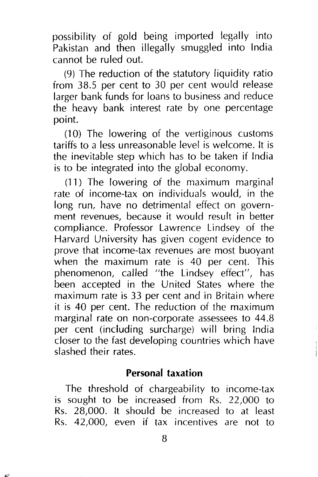possibility of gold being imported legally into Pakistan and then illegally smuggled into India cannot be ruled out.

(9) The reduction of the statutory liquidity ratio from 38.5 per cent to 30 per cent would release larger bank funds for loans to business and reduce the heavy bank interest rate by one percentage point.

(10) The lowering of the vertiginous customs tariffs to a less unreasonable level is welcome. It is the inevitable step which has to be taken if India is to be integrated into the global economy.

(11) The lowering of the maximum marginal rate of income-tax on individuals would, in the long run, have no detrimental effect on government revenues, because it would result in better compliance. Professor Lawrence Lindsey of the Harvard University has given cogent evidence to prove that income-tax revenues are most buoyant when the maximum rate is 40 per cent. This phenomenon, called "the Lindsey effect", has been accepted in the United States where the maximum rate is 33 per cent and in Britain where it is 40 per cent. The reduction of the maximum marginal rate on non-corporate assessees to 44.8 per cent (including surcharge) will bring India closer to the fast developing countries which have slashed their rates.

#### **Personal taxation**

The threshold of chargeability to income-tax is sought to be increased from Rs. 22,000 to Rs. 28,000. It should be increased to at least Rs. 42,000, even if tax incentives are not to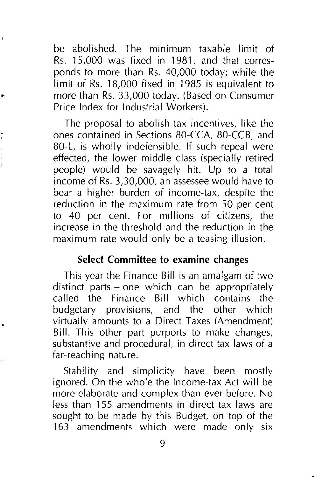be abolished. The minimum taxable limit of Rs. 15,000 was fixed in 1981, and that corresponds to more than Rs. 40,000 today; while the limit of Rs. 18,000 fixed in 1985 is equivalent to more than Rs. 33,000 today. (Based on Consumer Price Index for Industrial Workers).

The proposal to abolish tax incentives, like the ones contained in Sections 80-CCA, 80-CCB, and 80-L, is wholly indefensible. If such repeal were effected, the lower middle class (specially retired people) would be savagely hit. Up to a total income of Rs. 3,30,000, an assessee would have to bear a higher burden of income-tax, despite the reduction in the maximum rate from 50 per cent to 40 per cent. For millions of citizens, the increase in the threshold and the reduction in the maximum rate would only be a teasing illusion.

#### **Select Committee to examine changes**

This year the Finance Bill is an amalgam of two distinct parts - one which can be appropriately called the Finance Bill which contains the budgetary provisions, and the other which virtually amounts to a Direct Taxes (Amendment) Bill. This other part purports to make changes, substantive and procedural, in direct tax laws of a far-reaching nature.

Stability and simplicity have been mostly ignored. On the whole the Income-tax Act will be more elaborate and complex than ever before. No less than 155 amendments in direct tax laws are sought to be made by this Budget, on top of the 163 amendments which were made only six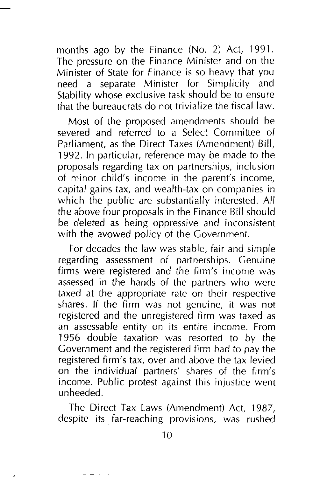months ago by the Finance (No. 2) Act, 1991. The pressure on the Finance Minister and on the Minister of State for Finance is so heavy that you need a separate Minister for Simplicity and Stability whose exclusive task should be to ensure that the bureaucrats do not trivialize the fiscal law.

Most of the proposed amendments should be severed and referred to a Select Committee of Parliament, as the Direct Taxes (Amendment) Bill, 1992. In particular, reference may be made to the proposals regarding tax on partnerships, inclusion of minor child's income in the parent's income, capital gains tax, and wealth-tax on companies in which the public are substantially interested. All the above four proposals in the Finance Bill should be deleted as being oppressive and inconsistent with the avowed policy of the Government.

For decades the law was stable, fair and simple regarding assessment of partnerships. Genuine firms were registered and the firm's income was assessed in the hands of the partners who were taxed at the appropriate rate on their respective shares. If the firm was not genuine, it was not registered and the unregistered firm was taxed as an assessabfe entity on its entire income. From 1956 double taxation was resorted to by the Government and the registered firm had to pay the registered firm's tax, over and *above* the tax levied on the individual partners' shares of the firm's income. Public protest against this injustice went unheeded.

The Direct Tax Laws (Amendment) Act, 1987, despite its far-reaching provisions, was rushed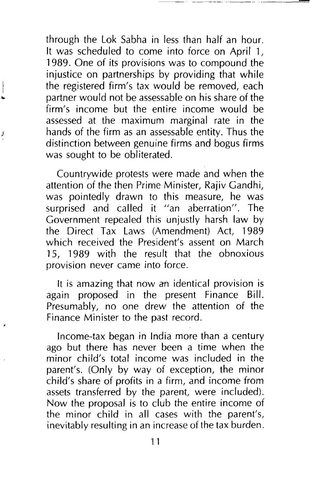through the Lok Sabha in less than half an hour. It was scheduled to come into force on April 1, 1989. One of its provisions was to compound the injustice on partnerships by providing that while the registered firm's tax would be removed, each partner would not be assessable on his share of the firm's income but the entire income would be assessed at the maximum marginal rate in the hands of the firm as an assessable entity. Thus the distinction between genuine firms and bogus firms was sought to be obliterated.

Countrywide protests were made and when the attention of the then Prime Minister, Rajiv Gandhi, was pointedly drawn to this measure, he was surprised and called it "an aberration". The Government repealed this unjustly harsh law by the Direct Tax Laws (Amendment) Act, 1989 which received the President's assent on March 15, 1989 with the result that the obnoxious provision never came into force.

It is amazing that now an identical provision is again proposed in the present Finance Bill. Presumably, no one drew the attention of the Finance Minister to the past record.

Income-tax began in India more than a century ago but there has never been a time when the minor child's total income was included in the parent's. (Only by way of exception, the minor child's share of profits in a firm, and income from assets transferred by the parent, were included). Now the proposal is to club the entire income of the minor child in all cases with the parent's, inevitably resulting in an increase of the tax burden.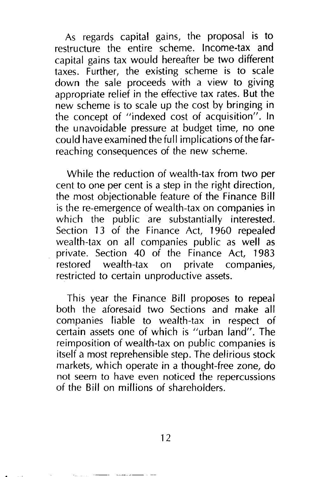As regards capital gains, the proposal is to restructure the entire scheme. Income-tax and capital gains tax would hereafter be two different taxes. Further, the existing scheme is to scale down the sale proceeds with a view to giving appropriate relief in the effective tax rates. But the new scheme is to scale up the cost by bringing in the concept of "indexed cost of acquisition". In the unavoidable pressure at budget time, no one could have examined the full implications of the farreaching consequences of the new scheme.

While the reduction of wealth-tax from two per cent to one per cent is a step in the right direction, the most objectionable feature of the Finance Bill is the re-emergence of wealth-tax on companies in which the public are substantially interested. Section 13 of the Finance Act, 1960 repealed wealth-tax on all companies public as well as private. Section 40 of the Finance Act, 1983 restored wealth-tax on private companies, restricted to certain unproductive assets.

This year the Finance Bill proposes to repeal both the aforesaid two Sections and make all companies liable to wealth-tax in respect of certain assets one of which is "urban land". The reimposition of wealth-tax on public companies is itself a most reprehensible step. The delirious stock markets, which operate in a thought-free zone, do not seem to have even noticed the repercussions of the Bill on millions of shareholders.